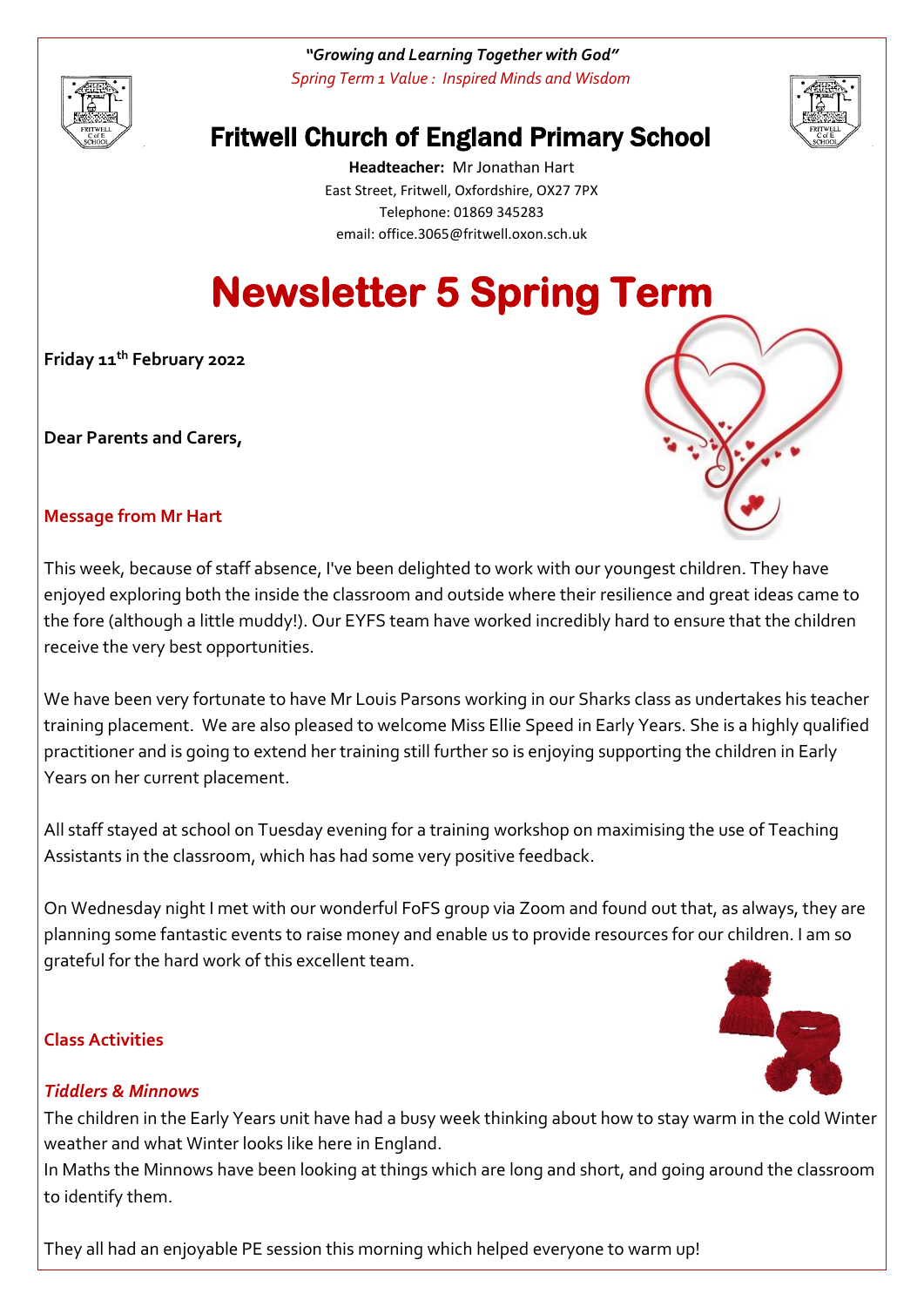

*"Growing and Learning Together with God" Spring Term 1 Value : Inspired Minds and Wisdom*



# Fritwell Church of England Primary School

**Headteacher:** Mr Jonathan Hart East Street, Fritwell, Oxfordshire, OX27 7PX Telephone: 01869 345283 [email: office.3065@f](mailto:email:%20office.3065@)ritwell.oxon.sch.uk

# **Newsletter 5 Spring Term**

**Friday 11th February 2022**

**Dear Parents and Carers,**



# **Message from Mr Hart**

This week, because of staff absence, I've been delighted to work with our youngest children. They have enjoyed exploring both the inside the classroom and outside where their resilience and great ideas came to the fore (although a little muddy!). Our EYFS team have worked incredibly hard to ensure that the children receive the very best opportunities.

We have been very fortunate to have Mr Louis Parsons working in our Sharks class as undertakes his teacher training placement. We are also pleased to welcome Miss Ellie Speed in Early Years. She is a highly qualified practitioner and is going to extend her training still further so is enjoying supporting the children in Early Years on her current placement.

All staff stayed at school on Tuesday evening for a training workshop on maximising the use of Teaching Assistants in the classroom, which has had some very positive feedback.

On Wednesday night I met with our wonderful FoFS group via Zoom and found out that, as always, they are planning some fantastic events to raise money and enable us to provide resources for our children. I am so grateful for the hard work of this excellent team.

#### **Class Activities**



# *Tiddlers & Minnows*

The children in the Early Years unit have had a busy week thinking about how to stay warm in the cold Winter weather and what Winter looks like here in England.

In Maths the Minnows have been looking at things which are long and short, and going around the classroom to identify them.

They all had an enjoyable PE session this morning which helped everyone to warm up!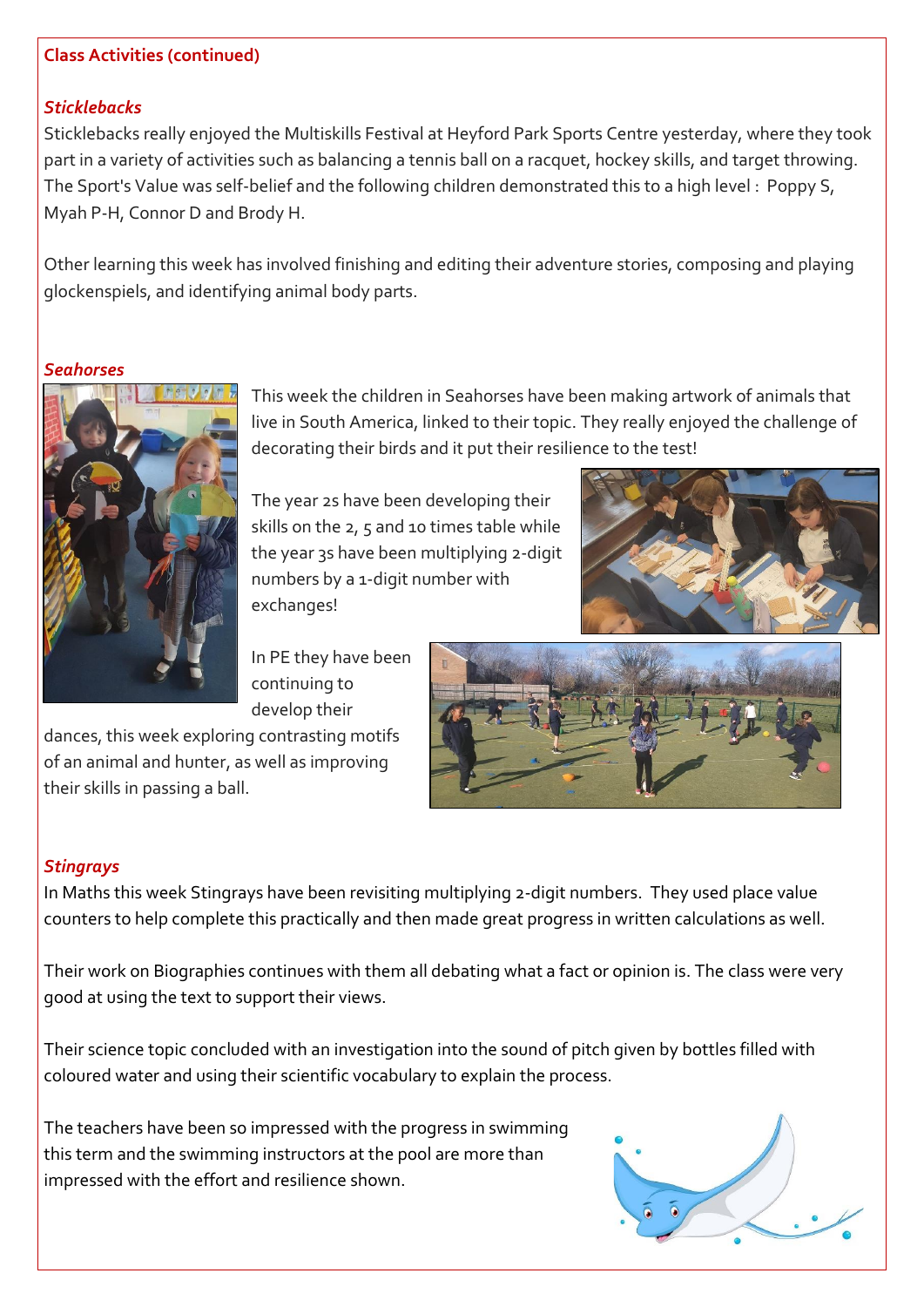#### **Class Activities (continued)**

#### *Sticklebacks*

Sticklebacks really enjoyed the Multiskills Festival at Heyford Park Sports Centre yesterday, where they took part in a variety of activities such as balancing a tennis ball on a racquet, hockey skills, and target throwing. The Sport's Value was self-belief and the following children demonstrated this to a high level : Poppy S, Myah P-H, Connor D and Brody H.

Other learning this week has involved finishing and editing their adventure stories, composing and playing glockenspiels, and identifying animal body parts.

#### *Seahorses*



This week the children in Seahorses have been making artwork of animals that live in South America, linked to their topic. They really enjoyed the challenge of decorating their birds and it put their resilience to the test!

The year 2s have been developing their skills on the 2, 5 and 10 times table while the year 3s have been multiplying 2-digit numbers by a 1-digit number with exchanges!



In PE they have been continuing to develop their

dances, this week exploring contrasting motifs of an animal and hunter, as well as improving their skills in passing a ball.



#### *Stingrays*

In Maths this week Stingrays have been revisiting multiplying 2-digit numbers. They used place value counters to help complete this practically and then made great progress in written calculations as well.

Their work on Biographies continues with them all debating what a fact or opinion is. The class were very good at using the text to support their views.

Their science topic concluded with an investigation into the sound of pitch given by bottles filled with coloured water and using their scientific vocabulary to explain the process.

The teachers have been so impressed with the progress in swimming this term and the swimming instructors at the pool are more than impressed with the effort and resilience shown.

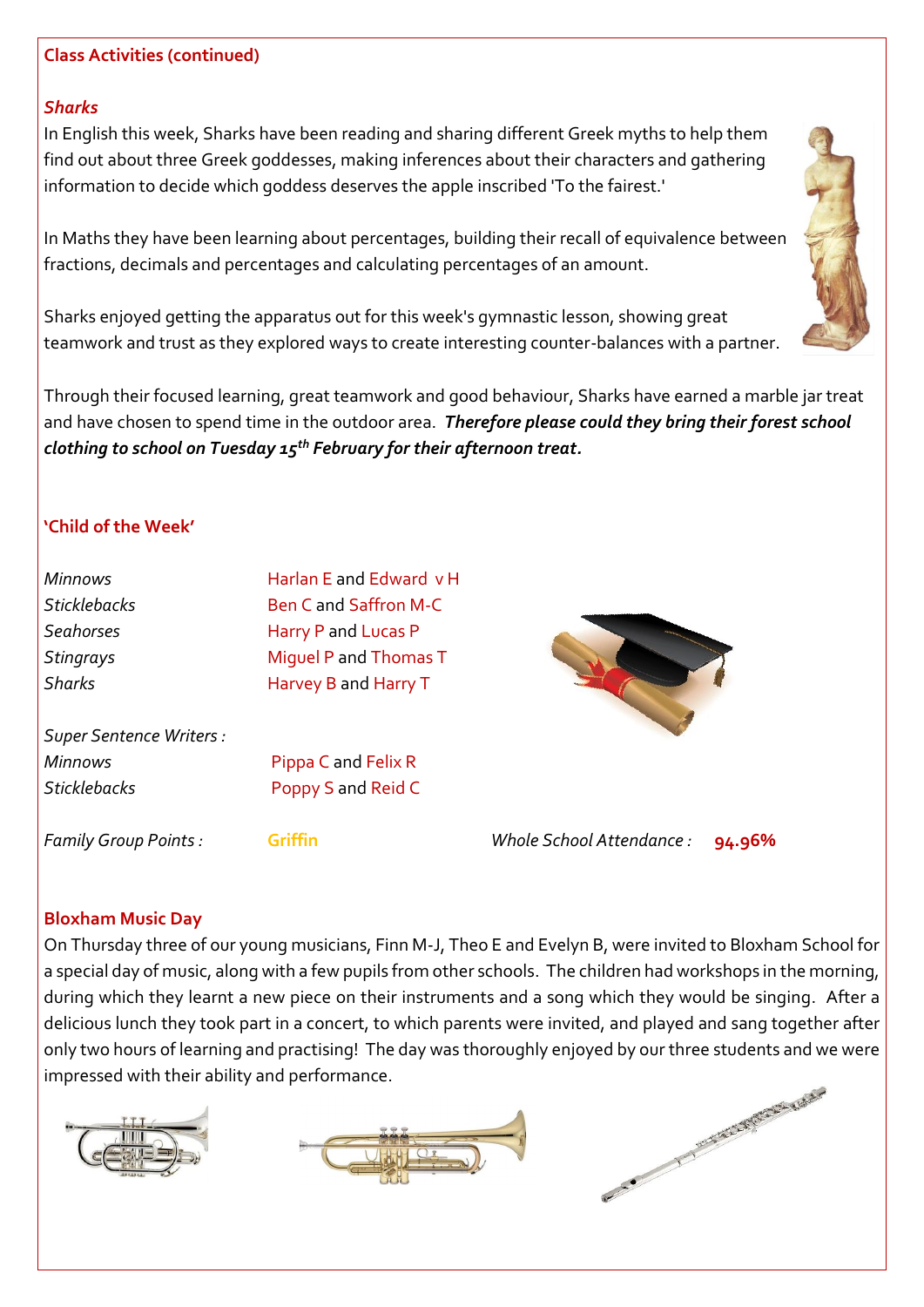#### **Class Activities (continued)**

#### *Sharks*

In English this week, Sharks have been reading and sharing different Greek myths to help them find out about three Greek goddesses, making inferences about their characters and gathering information to decide which goddess deserves the apple inscribed 'To the fairest.'

In Maths they have been learning about percentages, building their recall of equivalence between fractions, decimals and percentages and calculating percentages of an amount.

Sharks enjoyed getting the apparatus out for this week's gymnastic lesson, showing great teamwork and trust as they explored ways to create interesting counter-balances with a partner.

Through their focused learning, great teamwork and good behaviour, Sharks have earned a marble jar treat and have chosen to spend time in the outdoor area. *Therefore please could they bring their forest school clothing to school on Tuesday 15th February for their afternoon treat.*

# **'Child of the Week'**

| <b>Minnows</b>                 | Harlan E and Edward v H     |                                     |
|--------------------------------|-----------------------------|-------------------------------------|
| <b>Sticklebacks</b>            | <b>Ben Cand Saffron M-C</b> |                                     |
| <b>Seahorses</b>               | Harry P and Lucas P         |                                     |
| Stingrays                      | Miquel P and Thomas T       |                                     |
| <b>Sharks</b>                  | Harvey B and Harry T        |                                     |
| <b>Super Sentence Writers:</b> |                             |                                     |
| <b>Minnows</b>                 | Pippa C and Felix R         |                                     |
| <b>Sticklebacks</b>            | Poppy S and Reid C          |                                     |
| <b>Family Group Points:</b>    | Griffin                     | Whole School Attendance :<br>94.96% |

#### **Bloxham Music Day**

On Thursday three of our young musicians, Finn M-J, Theo E and Evelyn B, were invited to Bloxham School for a special day of music, along with a few pupils from other schools. The children had workshops in the morning, during which they learnt a new piece on their instruments and a song which they would be singing. After a delicious lunch they took part in a concert, to which parents were invited, and played and sang together after only two hours of learning and practising! The day was thoroughly enjoyed by our three students and we were impressed with their ability and performance.







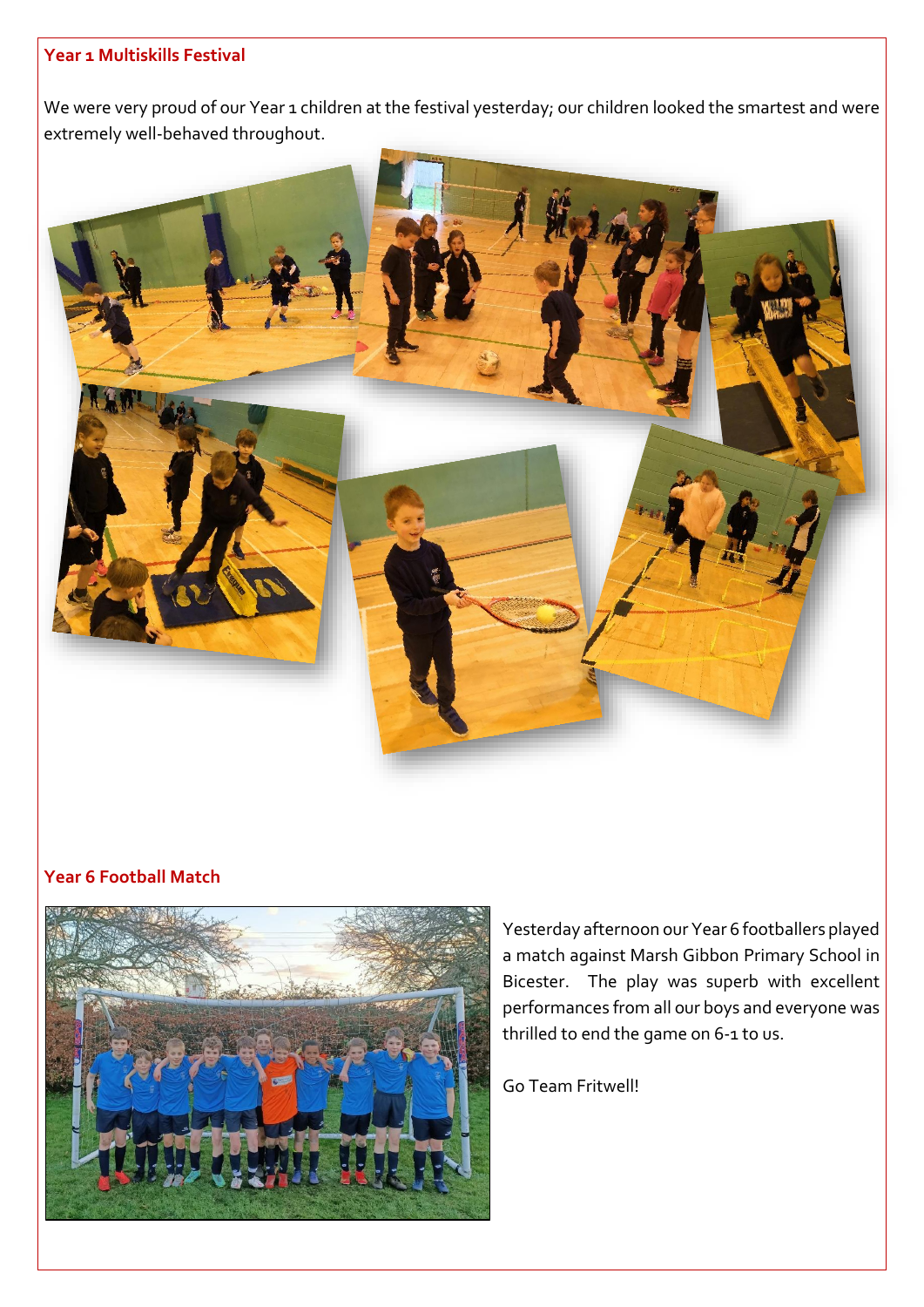#### **Year 1 Multiskills Festival**

We were very proud of our Year 1 children at the festival yesterday; our children looked the smartest and were extremely well-behaved throughout.



# **Year 6 Football Match**



Yesterday afternoon our Year 6 footballers played a match against Marsh Gibbon Primary School in Bicester. The play was superb with excellent performances from all our boys and everyone was thrilled to end the game on 6-1 to us.

Go Team Fritwell!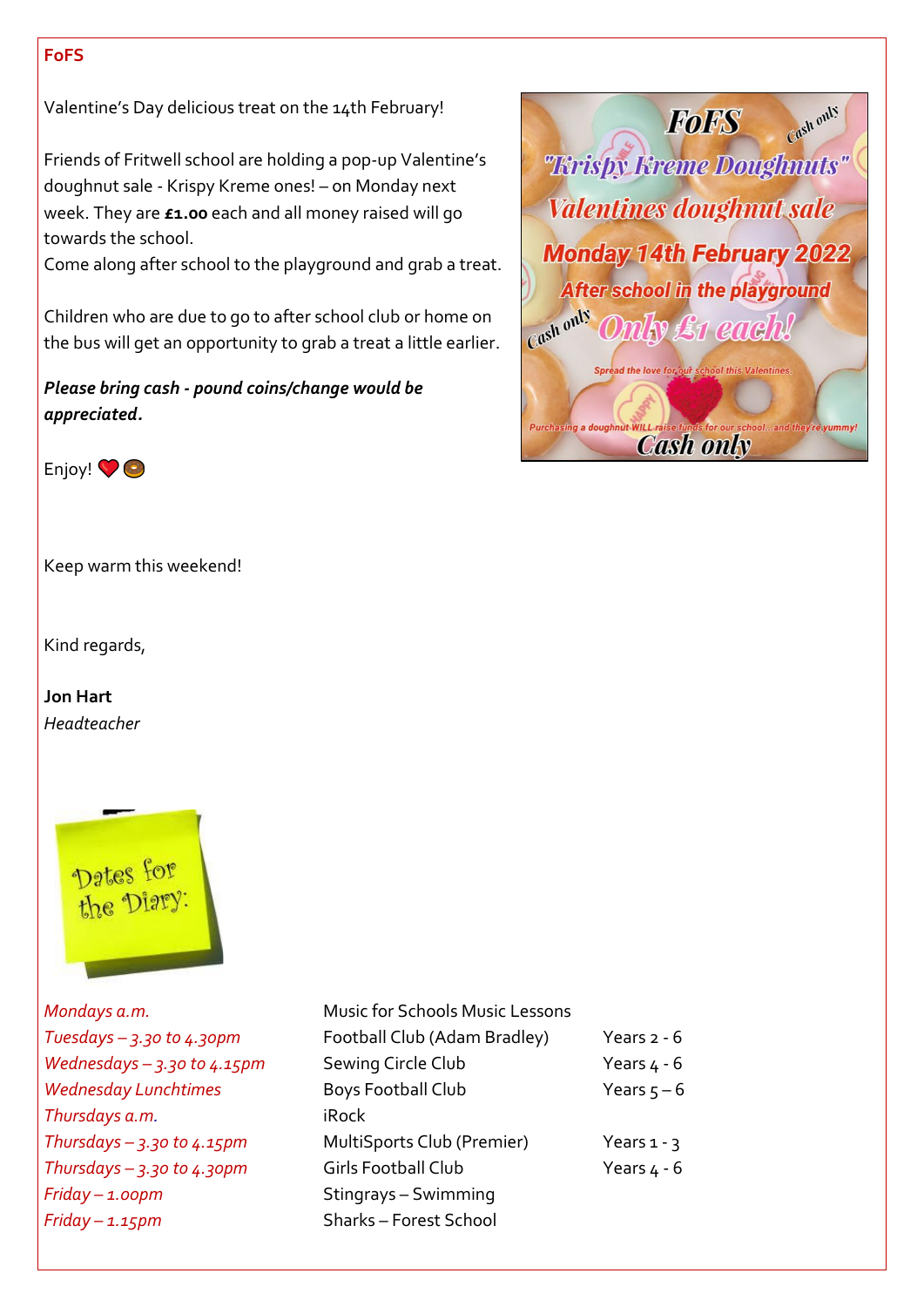#### **FoFS**

Valentine's Day delicious treat on the 14th February!

Friends of Fritwell school are holding a pop-up Valentine's doughnut sale - Krispy Kreme ones! – on Monday next week. They are **£1.00** each and all money raised will go towards the school.

Come along after school to the playground and grab a treat.

Children who are due to go to after school club or home on the bus will get an opportunity to grab a treat a little earlier.

*Please bring cash - pound coins/change would be appreciated.* 





Keep warm this weekend!

Kind regards,

**Jon Hart** *Headteacher*



*Mondays a.m. Tuesdays – 3.30 to 4.30pm Wednesdays – 3.30 to 4.15pm* **Wednesday Lunchtimes Thursdays a.m.** *Thursdays – 3.30 to 4.15pm Thursdays – 3.30 to 4.30pm Friday – 1.00pm Friday – 1.15pm* Sharks – Forest School

| Music for Schools Music Lessons |               |
|---------------------------------|---------------|
| Football Club (Adam Bradley)    | Years $2 - 6$ |
| Sewing Circle Club              | Years $4 - 6$ |
| Boys Football Club              | Years $5 - 6$ |
| iRock                           |               |
| MultiSports Club (Premier)      | Years $1 - 3$ |
| <b>Girls Football Club</b>      | Years $4 - 6$ |
| Stingrays - Swimming            |               |
| Charles Forest Cebool           |               |